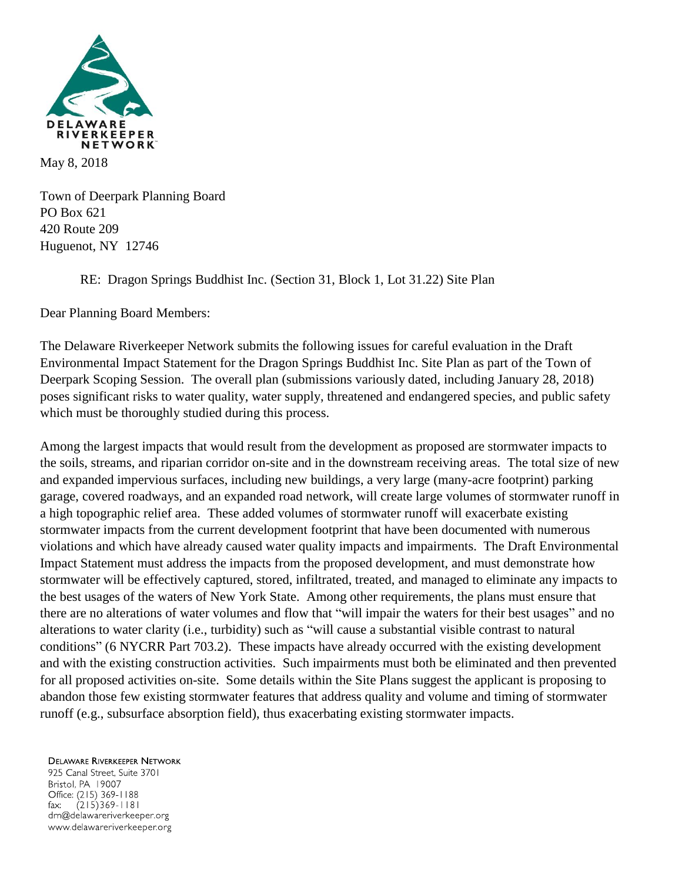

Town of Deerpark Planning Board PO Box 621 420 Route 209 Huguenot, NY 12746

RE: Dragon Springs Buddhist Inc. (Section 31, Block 1, Lot 31.22) Site Plan

Dear Planning Board Members:

The Delaware Riverkeeper Network submits the following issues for careful evaluation in the Draft Environmental Impact Statement for the Dragon Springs Buddhist Inc. Site Plan as part of the Town of Deerpark Scoping Session. The overall plan (submissions variously dated, including January 28, 2018) poses significant risks to water quality, water supply, threatened and endangered species, and public safety which must be thoroughly studied during this process.

Among the largest impacts that would result from the development as proposed are stormwater impacts to the soils, streams, and riparian corridor on-site and in the downstream receiving areas. The total size of new and expanded impervious surfaces, including new buildings, a very large (many-acre footprint) parking garage, covered roadways, and an expanded road network, will create large volumes of stormwater runoff in a high topographic relief area. These added volumes of stormwater runoff will exacerbate existing stormwater impacts from the current development footprint that have been documented with numerous violations and which have already caused water quality impacts and impairments. The Draft Environmental Impact Statement must address the impacts from the proposed development, and must demonstrate how stormwater will be effectively captured, stored, infiltrated, treated, and managed to eliminate any impacts to the best usages of the waters of New York State. Among other requirements, the plans must ensure that there are no alterations of water volumes and flow that "will impair the waters for their best usages" and no alterations to water clarity (i.e., turbidity) such as "will cause a substantial visible contrast to natural conditions" (6 NYCRR Part 703.2). These impacts have already occurred with the existing development and with the existing construction activities. Such impairments must both be eliminated and then prevented for all proposed activities on-site. Some details within the Site Plans suggest the applicant is proposing to abandon those few existing stormwater features that address quality and volume and timing of stormwater runoff (e.g., subsurface absorption field), thus exacerbating existing stormwater impacts.

**DELAWARE RIVERKEEPER NETWORK** 

925 Canal Street, Suite 3701 Bristol, PA 19007 Office: (215) 369-1188  $(215)369 - 1181$ fax: drn@delawareriverkeeper.org www.delawareriverkeeper.org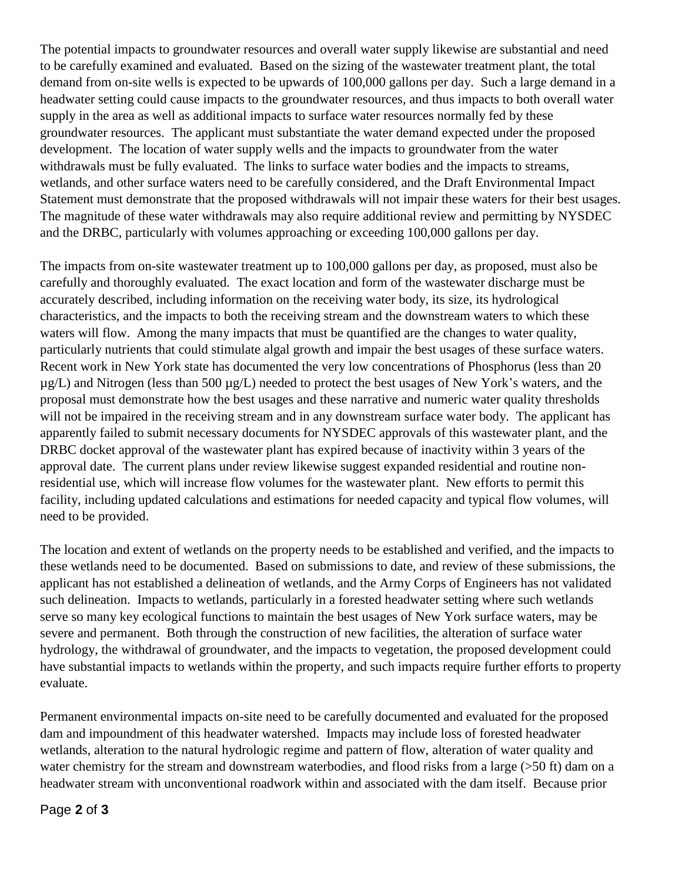The potential impacts to groundwater resources and overall water supply likewise are substantial and need to be carefully examined and evaluated. Based on the sizing of the wastewater treatment plant, the total demand from on-site wells is expected to be upwards of 100,000 gallons per day. Such a large demand in a headwater setting could cause impacts to the groundwater resources, and thus impacts to both overall water supply in the area as well as additional impacts to surface water resources normally fed by these groundwater resources. The applicant must substantiate the water demand expected under the proposed development. The location of water supply wells and the impacts to groundwater from the water withdrawals must be fully evaluated. The links to surface water bodies and the impacts to streams, wetlands, and other surface waters need to be carefully considered, and the Draft Environmental Impact Statement must demonstrate that the proposed withdrawals will not impair these waters for their best usages. The magnitude of these water withdrawals may also require additional review and permitting by NYSDEC and the DRBC, particularly with volumes approaching or exceeding 100,000 gallons per day.

The impacts from on-site wastewater treatment up to 100,000 gallons per day, as proposed, must also be carefully and thoroughly evaluated. The exact location and form of the wastewater discharge must be accurately described, including information on the receiving water body, its size, its hydrological characteristics, and the impacts to both the receiving stream and the downstream waters to which these waters will flow. Among the many impacts that must be quantified are the changes to water quality, particularly nutrients that could stimulate algal growth and impair the best usages of these surface waters. Recent work in New York state has documented the very low concentrations of Phosphorus (less than 20 µg/L) and Nitrogen (less than 500 µg/L) needed to protect the best usages of New York's waters, and the proposal must demonstrate how the best usages and these narrative and numeric water quality thresholds will not be impaired in the receiving stream and in any downstream surface water body. The applicant has apparently failed to submit necessary documents for NYSDEC approvals of this wastewater plant, and the DRBC docket approval of the wastewater plant has expired because of inactivity within 3 years of the approval date. The current plans under review likewise suggest expanded residential and routine nonresidential use, which will increase flow volumes for the wastewater plant. New efforts to permit this facility, including updated calculations and estimations for needed capacity and typical flow volumes, will need to be provided.

The location and extent of wetlands on the property needs to be established and verified, and the impacts to these wetlands need to be documented. Based on submissions to date, and review of these submissions, the applicant has not established a delineation of wetlands, and the Army Corps of Engineers has not validated such delineation. Impacts to wetlands, particularly in a forested headwater setting where such wetlands serve so many key ecological functions to maintain the best usages of New York surface waters, may be severe and permanent. Both through the construction of new facilities, the alteration of surface water hydrology, the withdrawal of groundwater, and the impacts to vegetation, the proposed development could have substantial impacts to wetlands within the property, and such impacts require further efforts to property evaluate.

Permanent environmental impacts on-site need to be carefully documented and evaluated for the proposed dam and impoundment of this headwater watershed. Impacts may include loss of forested headwater wetlands, alteration to the natural hydrologic regime and pattern of flow, alteration of water quality and water chemistry for the stream and downstream waterbodies, and flood risks from a large (>50 ft) dam on a headwater stream with unconventional roadwork within and associated with the dam itself. Because prior